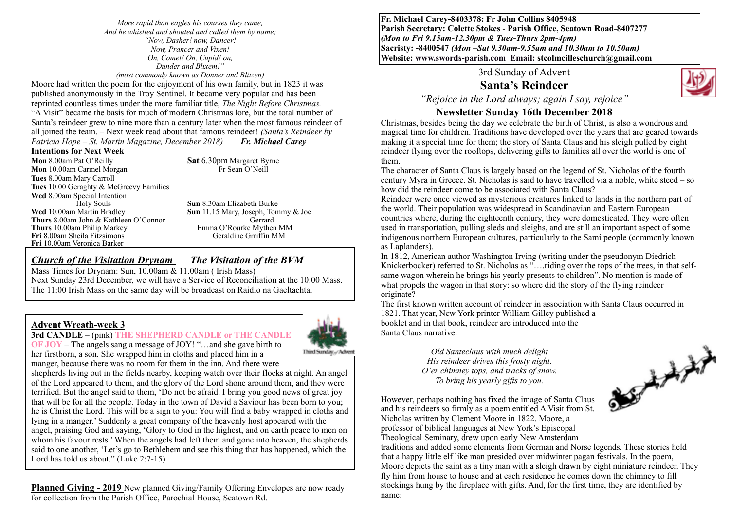*More rapid than eagles his courses they came, And he whistled and shouted and called them by name; "Now, Dasher! now, Dancer! Now, Prancer and Vixen! On, Comet! On, Cupid! on, Dunder and Blixem!" (most commonly known as Donner and Blitzen)*

Moore had written the poem for the enjoyment of his own family, but in 1823 it was published anonymously in the Troy Sentinel. It became very popular and has been reprinted countless times under the more familiar title, *The Night Before Christmas.* "A Visit" became the basis for much of modern Christmas lore, but the total number of Santa's reindeer grew to nine more than a century later when the most famous reindeer of all joined the team. – Next week read about that famous reindeer! *(Santa's Reindeer by Patricia Hope – St. Martin Magazine, December 2018) Fr. Michael Carey* 

#### **Intentions for Next Week**

**Mon** 8.00am Pat O'Reilly **Sat** 6.30pm Margaret Byrne<br> **Mon** 10.00am Carmel Morgan<br>
Fr Sean O'Neill **Mon** 10.00am Carmel Morgan **Tues** 8.00am Mary Carroll **Tues** 10.00 Geraghty & McGreevy Families Wed 8.00am Special Intention<br>Holy Souls Foly Souls **Sun 8.30am Elizabeth Burke**<br>**Wed** 10.00am Martin Bradley **Sun** 11.15 Mary Joseph. Tom **Thurs** 8.00am John & Kathleen O'Connor Gerrard **Thurs** 10.00am Philip Markey **Emma O'Rourke Mythen MM**<br> **Fri** 8.00am Sheila Fitzsimons Geraldine Grriffin MM **Fri** 8.00am Sheila Fitzsimons **Fri** 10.00am Veronica Barker

**Sun** 11.15 Mary, Joseph, Tommy & Joe

*Church of the Visitation Drynam**The Visitation of the BVM*

Mass Times for Drynam: Sun, 10.00am & 11.00am ( Irish Mass) Next Sunday 23rd December, we will have a Service of Reconciliation at the 10:00 Mass. The 11:00 Irish Mass on the same day will be broadcast on Raidio na Gaeltachta.

#### **Advent Wreath-week 3**

#### **3rd CANDLE** – (pink) **THE SHEPHERD CANDLE or THE CANDLE**



**OF JOY** – The angels sang a message of JOY! "…and she gave birth to her firstborn, a son. She wrapped him in cloths and placed him in a manger, because there was no room for them in the inn. And there were

shepherds living out in the fields nearby, keeping watch over their flocks at night. An angel of the Lord appeared to them, and the glory of the Lord shone around them, and they were terrified. But the angel said to them, 'Do not be afraid. I bring you good news of great joy that will be for all the people. Today in the town of David a Saviour has been born to you; he is Christ the Lord. This will be a sign to you: You will find a baby wrapped in cloths and lying in a manger.' Suddenly a great company of the heavenly host appeared with the angel, praising God and saying, 'Glory to God in the highest, and on earth peace to men on whom his favour rests.' When the angels had left them and gone into heaven, the shepherds said to one another, 'Let's go to Bethlehem and see this thing that has happened, which the Lord has told us about." (Luke 2:7-15)

**Planned Giving - 2019** New planned Giving/Family Offering Envelopes are now ready for collection from the Parish Office, Parochial House, Seatown Rd.

**Fr. Michael Carey-8403378: Fr John Collins 8405948 Parish Secretary: Colette Stokes - Parish Office, Seatown Road-8407277**  *(Mon to Fri 9.15am-12.30pm & Tues-Thurs 2pm-4pm)*  **Sacristy: -8400547** *(Mon –Sat 9.30am-9.55am and 10.30am to 10.50am)* **Website: [www.swords-parish.com Email:](http://www.swords-parish.com%20%20email) stcolmcilleschurch@gmail.com**

### 3rd Sunday of Advent **Santa's Reindeer**



*"Rejoice in the Lord always; again I say, rejoice"*

## **Newsletter Sunday 16th December 2018**

Christmas, besides being the day we celebrate the birth of Christ, is also a wondrous and magical time for children. Traditions have developed over the years that are geared towards making it a special time for them; the story of Santa Claus and his sleigh pulled by eight reindeer flying over the rooftops, delivering gifts to families all over the world is one of them.

The character of Santa Claus is largely based on the legend of St. Nicholas of the fourth century Myra in Greece. St. Nicholas is said to have travelled via a noble, white steed – so how did the reindeer come to be associated with Santa Claus?

Reindeer were once viewed as mysterious creatures linked to lands in the northern part of the world. Their population was widespread in Scandinavian and Eastern European countries where, during the eighteenth century, they were domesticated. They were often used in transportation, pulling sleds and sleighs, and are still an important aspect of some indigenous northern European cultures, particularly to the Sami people (commonly known as Laplanders).

In 1812, American author Washington Irving (writing under the pseudonym Diedrich Knickerbocker) referred to St. Nicholas as "….riding over the tops of the trees, in that selfsame wagon wherein he brings his yearly presents to children". No mention is made of what propels the wagon in that story: so where did the story of the flying reindeer originate?

The first known written account of reindeer in association with Santa Claus occurred in 1821. That year, New York printer William Gilley published a booklet and in that book, reindeer are introduced into the Santa Claus narrative:

> *Old Santeclaus with much delight His reindeer drives this frosty night. O'er chimney tops, and tracks of snow. To bring his yearly gifts to you.*



However, perhaps nothing has fixed the image of Santa Claus and his reindeers so firmly as a poem entitled A Visit from St. Nicholas written by Clement Moore in 1822. Moore, a professor of biblical languages at New York's Episcopal Theological Seminary, drew upon early New Amsterdam

traditions and added some elements from German and Norse legends. These stories held that a happy little elf like man presided over midwinter pagan festivals. In the poem, Moore depicts the saint as a tiny man with a sleigh drawn by eight miniature reindeer. They fly him from house to house and at each residence he comes down the chimney to fill stockings hung by the fireplace with gifts. And, for the first time, they are identified by name: